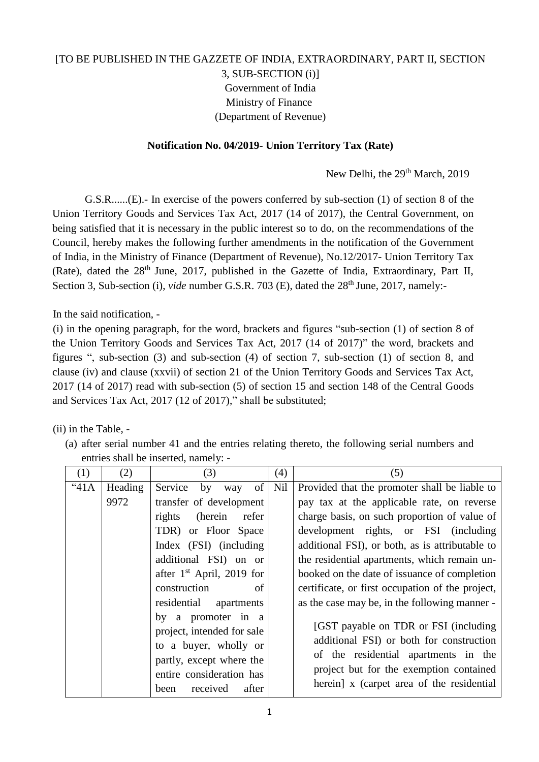## [TO BE PUBLISHED IN THE GAZZETE OF INDIA, EXTRAORDINARY, PART II, SECTION 3, SUB-SECTION (i)] Government of India Ministry of Finance (Department of Revenue)

## **Notification No. 04/2019- Union Territory Tax (Rate)**

New Delhi, the 29<sup>th</sup> March, 2019

G.S.R......(E).- In exercise of the powers conferred by sub-section (1) of section 8 of the Union Territory Goods and Services Tax Act, 2017 (14 of 2017), the Central Government, on being satisfied that it is necessary in the public interest so to do, on the recommendations of the Council, hereby makes the following further amendments in the notification of the Government of India, in the Ministry of Finance (Department of Revenue), No.12/2017- Union Territory Tax (Rate), dated the 28<sup>th</sup> June, 2017, published in the Gazette of India, Extraordinary, Part II, Section 3, Sub-section (i), *vide* number G.S.R. 703 (E), dated the 28<sup>th</sup> June, 2017, namely:-

In the said notification, -

(i) in the opening paragraph, for the word, brackets and figures "sub-section (1) of section 8 of the Union Territory Goods and Services Tax Act, 2017 (14 of 2017)" the word, brackets and figures ", sub-section (3) and sub-section (4) of section 7, sub-section (1) of section 8, and clause (iv) and clause (xxvii) of section 21 of the Union Territory Goods and Services Tax Act, 2017 (14 of 2017) read with sub-section (5) of section 15 and section 148 of the Central Goods and Services Tax Act, 2017 (12 of 2017)," shall be substituted;

(ii) in the Table, -

(a) after serial number 41 and the entries relating thereto, the following serial numbers and entries shall be inserted, namely: -

| (1)   | (2)     | (3)                                                                                                                                                            | (4) | (5)                                                                                                                                                                                                                |
|-------|---------|----------------------------------------------------------------------------------------------------------------------------------------------------------------|-----|--------------------------------------------------------------------------------------------------------------------------------------------------------------------------------------------------------------------|
| "41A" | Heading | of <sub>1</sub><br>Service by way                                                                                                                              | Nil | Provided that the promoter shall be liable to                                                                                                                                                                      |
|       | 9972    | transfer of development                                                                                                                                        |     | pay tax at the applicable rate, on reverse                                                                                                                                                                         |
|       |         | (herein<br>refer<br>rights                                                                                                                                     |     | charge basis, on such proportion of value of                                                                                                                                                                       |
|       |         | TDR) or Floor Space                                                                                                                                            |     | development rights, or FSI (including                                                                                                                                                                              |
|       |         | Index (FSI) (including                                                                                                                                         |     | additional FSI), or both, as is attributable to                                                                                                                                                                    |
|       |         | additional FSI) on or                                                                                                                                          |     | the residential apartments, which remain un-                                                                                                                                                                       |
|       |         | after $1st$ April, 2019 for                                                                                                                                    |     | booked on the date of issuance of completion                                                                                                                                                                       |
|       |         | construction<br>of                                                                                                                                             |     | certificate, or first occupation of the project,                                                                                                                                                                   |
|       |         | residential apartments                                                                                                                                         |     | as the case may be, in the following manner -                                                                                                                                                                      |
|       |         | by a promoter in a<br>project, intended for sale<br>to a buyer, wholly or<br>partly, except where the<br>entire consideration has<br>received<br>after<br>been |     | [GST payable on TDR or FSI (including)<br>additional FSI) or both for construction<br>of the residential apartments in the<br>project but for the exemption contained<br>herein] x (carpet area of the residential |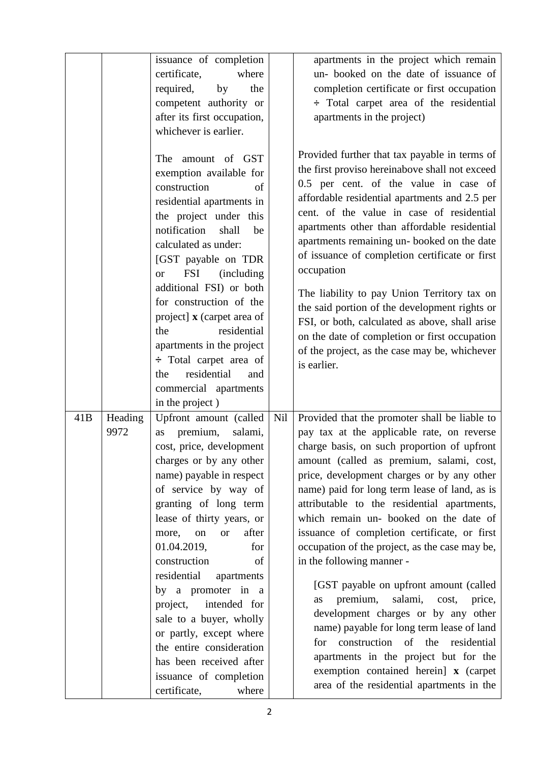|     |                 | issuance of completion<br>certificate,<br>where<br>required,<br>the<br>by<br>competent authority or<br>after its first occupation,<br>whichever is earlier.<br>amount of GST<br>The<br>exemption available for<br>construction<br>of<br>residential apartments in<br>the project under this<br>notification<br>shall<br>be<br>calculated as under:<br>[GST payable on TDR<br><b>FSI</b><br><i>(including)</i><br><b>or</b><br>additional FSI) or both<br>for construction of the<br>project] x (carpet area of<br>residential<br>the<br>apartments in the project<br>$\div$ Total carpet area of<br>residential<br>the<br>and |     | apartments in the project which remain<br>un-booked on the date of issuance of<br>completion certificate or first occupation<br>: Total carpet area of the residential<br>apartments in the project)<br>Provided further that tax payable in terms of<br>the first proviso hereinabove shall not exceed<br>0.5 per cent. of the value in case of<br>affordable residential apartments and 2.5 per<br>cent. of the value in case of residential<br>apartments other than affordable residential<br>apartments remaining un-booked on the date<br>of issuance of completion certificate or first<br>occupation<br>The liability to pay Union Territory tax on<br>the said portion of the development rights or<br>FSI, or both, calculated as above, shall arise<br>on the date of completion or first occupation<br>of the project, as the case may be, whichever<br>is earlier. |
|-----|-----------------|-------------------------------------------------------------------------------------------------------------------------------------------------------------------------------------------------------------------------------------------------------------------------------------------------------------------------------------------------------------------------------------------------------------------------------------------------------------------------------------------------------------------------------------------------------------------------------------------------------------------------------|-----|---------------------------------------------------------------------------------------------------------------------------------------------------------------------------------------------------------------------------------------------------------------------------------------------------------------------------------------------------------------------------------------------------------------------------------------------------------------------------------------------------------------------------------------------------------------------------------------------------------------------------------------------------------------------------------------------------------------------------------------------------------------------------------------------------------------------------------------------------------------------------------|
| 41B | Heading<br>9972 | commercial apartments<br>in the project)<br>Upfront amount (called<br>premium,<br>salami,<br>as<br>cost, price, development<br>charges or by any other                                                                                                                                                                                                                                                                                                                                                                                                                                                                        | Nil | Provided that the promoter shall be liable to<br>pay tax at the applicable rate, on reverse<br>charge basis, on such proportion of upfront<br>amount (called as premium, salami, cost,                                                                                                                                                                                                                                                                                                                                                                                                                                                                                                                                                                                                                                                                                          |
|     |                 | name) payable in respect<br>of service by way of<br>granting of long term<br>lease of thirty years, or<br>after<br>more,<br>on<br><b>or</b><br>01.04.2019,<br>for<br>construction<br>of                                                                                                                                                                                                                                                                                                                                                                                                                                       |     | price, development charges or by any other<br>name) paid for long term lease of land, as is<br>attributable to the residential apartments,<br>which remain un- booked on the date of<br>issuance of completion certificate, or first<br>occupation of the project, as the case may be,<br>in the following manner -                                                                                                                                                                                                                                                                                                                                                                                                                                                                                                                                                             |
|     |                 | residential<br>apartments<br>by a promoter in a<br>intended for<br>project,<br>sale to a buyer, wholly<br>or partly, except where<br>the entire consideration<br>has been received after<br>issuance of completion<br>certificate,<br>where                                                                                                                                                                                                                                                                                                                                                                                   |     | [GST payable on upfront amount (called)<br>premium,<br>salami, cost,<br>price,<br>as<br>development charges or by any other<br>name) payable for long term lease of land<br>construction of the residential<br>for<br>apartments in the project but for the<br>exemption contained herein] x (carpet<br>area of the residential apartments in the                                                                                                                                                                                                                                                                                                                                                                                                                                                                                                                               |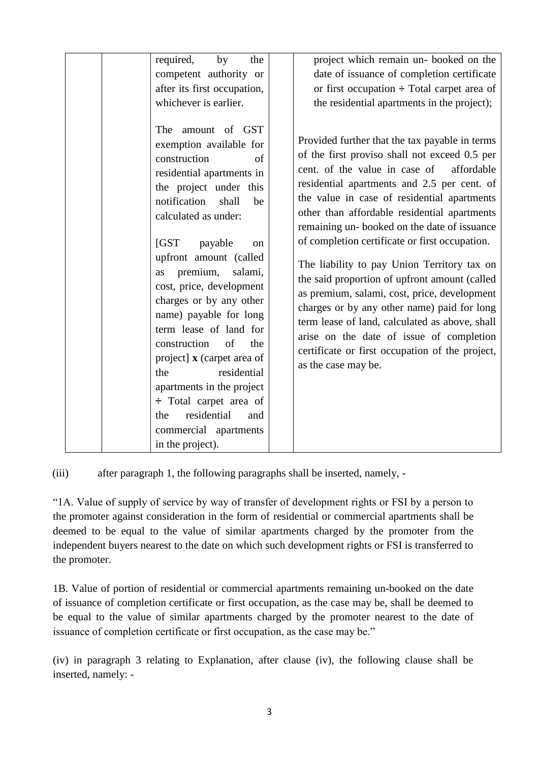| required,<br>by<br>the<br>competent authority or<br>after its first occupation,<br>whichever is earlier.<br>The<br>amount of GST<br>exemption available for<br>construction<br>of<br>residential apartments in<br>the project under this<br>notification<br>shall<br>be<br>calculated as under:<br>IGST<br>payable<br><sub>on</sub><br>upfront amount (called<br>premium,<br>salami,<br>as<br>cost, price, development | project which remain un- booked on the<br>date of issuance of completion certificate<br>or first occupation $\div$ Total carpet area of<br>the residential apartments in the project);<br>Provided further that the tax payable in terms<br>of the first proviso shall not exceed 0.5 per<br>cent. of the value in case of<br>affordable<br>residential apartments and 2.5 per cent. of<br>the value in case of residential apartments<br>other than affordable residential apartments<br>remaining un-booked on the date of issuance<br>of completion certificate or first occupation.<br>The liability to pay Union Territory tax on<br>the said proportion of upfront amount (called |
|------------------------------------------------------------------------------------------------------------------------------------------------------------------------------------------------------------------------------------------------------------------------------------------------------------------------------------------------------------------------------------------------------------------------|-----------------------------------------------------------------------------------------------------------------------------------------------------------------------------------------------------------------------------------------------------------------------------------------------------------------------------------------------------------------------------------------------------------------------------------------------------------------------------------------------------------------------------------------------------------------------------------------------------------------------------------------------------------------------------------------|
| charges or by any other<br>name) payable for long<br>term lease of land for<br>of<br>construction<br>the<br>project] x (carpet area of<br>residential<br>the<br>apartments in the project<br>$\div$ Total carpet area of<br>residential<br>the<br>and<br>commercial apartments<br>in the project).                                                                                                                     | as premium, salami, cost, price, development<br>charges or by any other name) paid for long<br>term lease of land, calculated as above, shall<br>arise on the date of issue of completion<br>certificate or first occupation of the project,<br>as the case may be.                                                                                                                                                                                                                                                                                                                                                                                                                     |

(iii) after paragraph 1, the following paragraphs shall be inserted, namely, -

"1A. Value of supply of service by way of transfer of development rights or FSI by a person to the promoter against consideration in the form of residential or commercial apartments shall be deemed to be equal to the value of similar apartments charged by the promoter from the independent buyers nearest to the date on which such development rights or FSI is transferred to the promoter.

1B. Value of portion of residential or commercial apartments remaining un-booked on the date of issuance of completion certificate or first occupation, as the case may be, shall be deemed to be equal to the value of similar apartments charged by the promoter nearest to the date of issuance of completion certificate or first occupation, as the case may be."

(iv) in paragraph 3 relating to Explanation, after clause (iv), the following clause shall be inserted, namely: -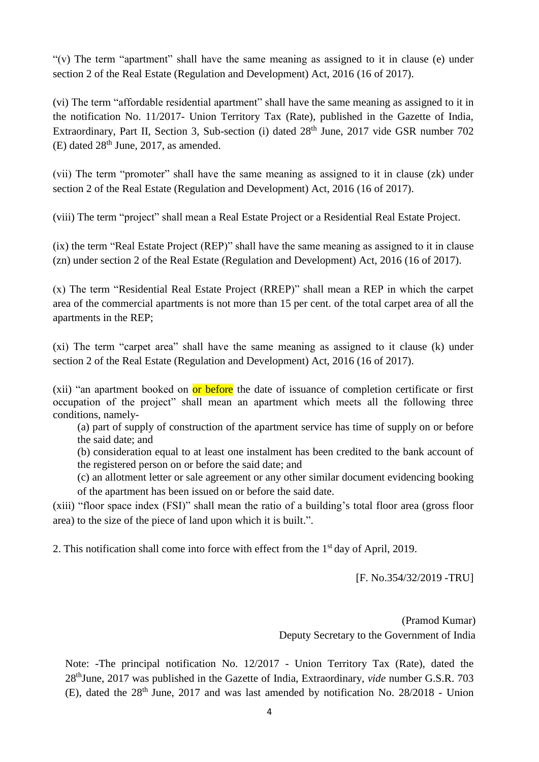"(v) The term "apartment" shall have the same meaning as assigned to it in clause (e) under section 2 of the Real Estate (Regulation and Development) Act, 2016 (16 of 2017).

(vi) The term "affordable residential apartment" shall have the same meaning as assigned to it in the notification No. 11/2017- Union Territory Tax (Rate), published in the Gazette of India, Extraordinary, Part II, Section 3, Sub-section (i) dated 28<sup>th</sup> June, 2017 vide GSR number 702  $(E)$  dated  $28<sup>th</sup>$  June, 2017, as amended.

(vii) The term "promoter" shall have the same meaning as assigned to it in clause (zk) under section 2 of the Real Estate (Regulation and Development) Act, 2016 (16 of 2017).

(viii) The term "project" shall mean a Real Estate Project or a Residential Real Estate Project.

(ix) the term "Real Estate Project (REP)" shall have the same meaning as assigned to it in clause (zn) under section 2 of the Real Estate (Regulation and Development) Act, 2016 (16 of 2017).

(x) The term "Residential Real Estate Project (RREP)" shall mean a REP in which the carpet area of the commercial apartments is not more than 15 per cent. of the total carpet area of all the apartments in the REP;

(xi) The term "carpet area" shall have the same meaning as assigned to it clause (k) under section 2 of the Real Estate (Regulation and Development) Act, 2016 (16 of 2017).

(xii) "an apartment booked on or before the date of issuance of completion certificate or first occupation of the project" shall mean an apartment which meets all the following three conditions, namely-

(a) part of supply of construction of the apartment service has time of supply on or before the said date; and

(b) consideration equal to at least one instalment has been credited to the bank account of the registered person on or before the said date; and

(c) an allotment letter or sale agreement or any other similar document evidencing booking of the apartment has been issued on or before the said date.

(xiii) "floor space index (FSI)" shall mean the ratio of a building's total floor area (gross floor area) to the size of the piece of land upon which it is built.".

2. This notification shall come into force with effect from the 1<sup>st</sup> day of April, 2019.

[F. No.354/32/2019 -TRU]

(Pramod Kumar) Deputy Secretary to the Government of India

Note: -The principal notification No. 12/2017 - Union Territory Tax (Rate), dated the 28thJune, 2017 was published in the Gazette of India, Extraordinary, *vide* number G.S.R. 703 (E), dated the  $28<sup>th</sup>$  June, 2017 and was last amended by notification No.  $28/2018$  - Union